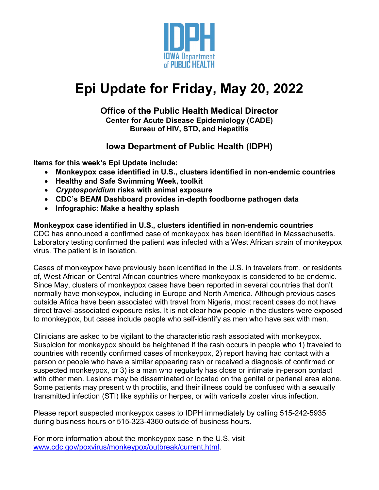

# **Epi Update for Friday, May 20, 2022**

### **Office of the Public Health Medical Director Center for Acute Disease Epidemiology (CADE) Bureau of HIV, STD, and Hepatitis**

# **Iowa Department of Public Health (IDPH)**

**Items for this week's Epi Update include:**

- **Monkeypox case identified in U.S., clusters identified in non-endemic countries**
- **Healthy and Safe Swimming Week, toolkit**
- *Cryptosporidium* **risks with animal exposure**
- **CDC's BEAM Dashboard provides in-depth foodborne pathogen data**
- **Infographic: Make a healthy splash**

# **Monkeypox case identified in U.S., clusters identified in non-endemic countries**

CDC has announced a confirmed case of monkeypox has been identified in Massachusetts. Laboratory testing confirmed the patient was infected with a West African strain of monkeypox virus. The patient is in isolation.

Cases of monkeypox have previously been identified in the U.S. in travelers from, or residents of, West African or Central African countries where monkeypox is considered to be endemic. Since May, clusters of monkeypox cases have been reported in several countries that don't normally have monkeypox, including in Europe and North America. Although previous cases outside Africa have been associated with travel from Nigeria, most recent cases do not have direct travel-associated exposure risks. It is not clear how people in the clusters were exposed to monkeypox, but cases include people who self-identify as men who have sex with men.

Clinicians are asked to be vigilant to the characteristic rash associated with monkeypox. Suspicion for monkeypox should be heightened if the rash occurs in people who 1) traveled to countries with recently confirmed cases of monkeypox, 2) report having had contact with a person or people who have a similar appearing rash or received a diagnosis of confirmed or suspected monkeypox, or 3) is a man who regularly has close or intimate in-person contact with other men. Lesions may be disseminated or located on the genital or perianal area alone. Some patients may present with proctitis, and their illness could be confused with a sexually transmitted infection (STI) like syphilis or herpes, or with varicella zoster virus infection.

Please report suspected monkeypox cases to IDPH immediately by calling 515-242-5935 during business hours or 515-323-4360 outside of business hours.

For more information about the monkeypox case in the U.S, visit [www.cdc.gov/poxvirus/monkeypox/outbreak/current.html.](http://www.cdc.gov/poxvirus/monkeypox/outbreak/current.html)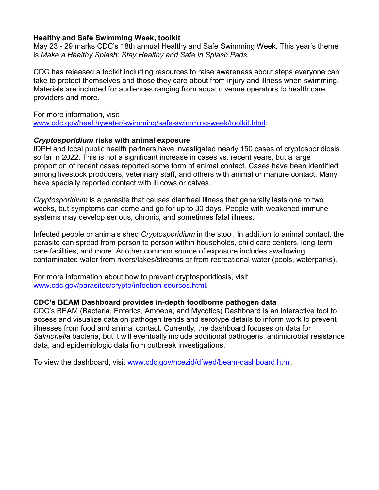#### **Healthy and Safe Swimming Week, toolkit**

May 23 - 29 marks CDC's 18th annual Healthy and Safe Swimming Week*.* This year's theme is *Make a Healthy Splash: Stay Healthy and Safe in Splash Pads.* 

CDC has released a toolkit including resources to raise awareness about steps everyone can take to protect themselves and those they care about from injury and illness when swimming. Materials are included for audiences ranging from aquatic venue operators to health care providers and more.

For more information, visit [www.cdc.gov/healthywater/swimming/safe-swimming-week/toolkit.html.](http://www.cdc.gov/healthywater/swimming/safe-swimming-week/toolkit.html)

#### *Cryptosporidium* **risks with animal exposure**

IDPH and local public health partners have investigated nearly 150 cases of cryptosporidiosis so far in 2022. This is not a significant increase in cases vs. recent years, but a large proportion of recent cases reported some form of animal contact. Cases have been identified among livestock producers, veterinary staff, and others with animal or manure contact. Many have specially reported contact with ill cows or calves.

*Cryptosporidium* is a parasite that causes diarrheal illness that generally lasts one to two weeks, but symptoms can come and go for up to 30 days. People with weakened immune systems may develop serious, chronic, and sometimes fatal illness.

Infected people or animals shed *Cryptosporidium* in the stool. In addition to animal contact, the parasite can spread from person to person within households, child care centers, long-term care facilities, and more. Another common source of exposure includes swallowing contaminated water from rivers/lakes/streams or from recreational water (pools, waterparks).

For more information about how to prevent cryptosporidiosis, visit [www.cdc.gov/parasites/crypto/infection-sources.html.](http://www.cdc.gov/parasites/crypto/infection-sources.html)

#### **CDC's BEAM Dashboard provides in-depth foodborne pathogen data**

CDC's BEAM (Bacteria, Enterics, Amoeba, and Mycotics) Dashboard is an interactive tool to access and visualize data on pathogen trends and serotype details to inform work to prevent illnesses from food and animal contact. Currently, the dashboard focuses on data for *Salmonella* bacteria, but it will eventually include additional pathogens, antimicrobial resistance data, and epidemiologic data from outbreak investigations.

To view the dashboard, visit [www.cdc.gov/ncezid/dfwed/beam-dashboard.html.](http://www.cdc.gov/ncezid/dfwed/beam-dashboard.html)